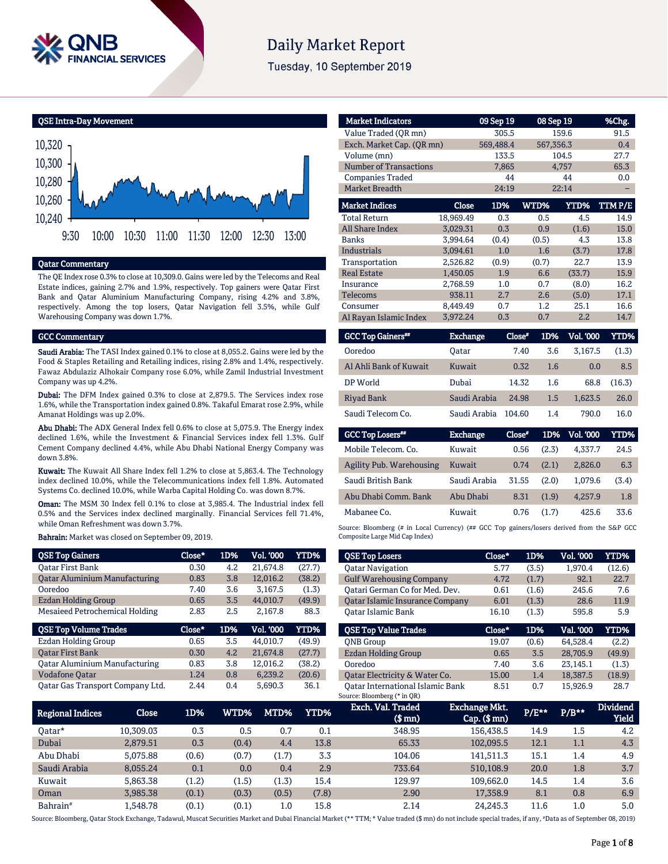

# **Daily Market Report**

Tuesday, 10 September 2019

QSE Intra-Day Movement



## Qatar Commentary

The QE Index rose 0.3% to close at 10,309.0. Gains were led by the Telecoms and Real Estate indices, gaining 2.7% and 1.9%, respectively. Top gainers were Qatar First Bank and Qatar Aluminium Manufacturing Company, rising 4.2% and 3.8%, respectively. Among the top losers, Qatar Navigation fell 3.5%, while Gulf Warehousing Company was down 1.7%.

### GCC Commentary

Saudi Arabia: The TASI Index gained 0.1% to close at 8,055.2. Gains were led by the Food & Staples Retailing and Retailing indices, rising 2.8% and 1.4%, respectively. Fawaz Abdulaziz Alhokair Company rose 6.0%, while Zamil Industrial Investment Company was up 4.2%.

Dubai: The DFM Index gained 0.3% to close at 2,879.5. The Services index rose 1.6%, while the Transportation index gained 0.8%. Takaful Emarat rose 2.9%, while Amanat Holdings was up 2.0%.

Abu Dhabi: The ADX General Index fell 0.6% to close at 5,075.9. The Energy index declined 1.6%, while the Investment & Financial Services index fell 1.3%. Gulf Cement Company declined 4.4%, while Abu Dhabi National Energy Company was down 3.8%.

Kuwait: The Kuwait All Share Index fell 1.2% to close at 5,863.4. The Technology index declined 10.0%, while the Telecommunications index fell 1.8%. Automated Systems Co. declined 10.0%, while Warba Capital Holding Co. was down 8.7%.

Oman: The MSM 30 Index fell 0.1% to close at 3,985.4. The Industrial index fell 0.5% and the Services index declined marginally. Financial Services fell 71.4%, while Oman Refreshment was down 3.7%.

Bahrain: Market was closed on September 09, 2019.

| <b>QSE Top Gainers</b>               | Close* | 1D% | <b>Vol. '000</b> | <b>YTD%</b> |
|--------------------------------------|--------|-----|------------------|-------------|
| <b>Oatar First Bank</b>              | 0.30   | 4.2 | 21.674.8         | (27.7)      |
| <b>Qatar Aluminium Manufacturing</b> | 0.83   | 3.8 | 12.016.2         | (38.2)      |
| Ooredoo                              | 7.40   | 3.6 | 3.167.5          | (1.3)       |
| <b>Ezdan Holding Group</b>           | 0.65   | 3.5 | 44.010.7         | (49.9)      |
| Mesaieed Petrochemical Holding       | 2.83   | 2.5 | 2.167.8          | 88.3        |
|                                      |        |     |                  |             |
| <b>QSE Top Volume Trades</b>         | Close* | 1D% | <b>Vol. '000</b> | YTD%        |
| Ezdan Holding Group                  | 0.65   | 3.5 | 44.010.7         | (49.9)      |
| <b>Oatar First Bank</b>              | 0.30   | 4.2 | 21.674.8         | (27.7)      |
| <b>Qatar Aluminium Manufacturing</b> | 0.83   | 3.8 | 12.016.2         | (38.2)      |
| <b>Vodafone Qatar</b>                | 1.24   | 0.8 | 6.239.2          | (20.6)      |

| <b>Market Indicators</b>            |                 | 09 Sep 19 |               | 08 Sep 19               | %Chg.       |
|-------------------------------------|-----------------|-----------|---------------|-------------------------|-------------|
| Value Traded (OR mn)                |                 | 305.5     |               | 159.6                   | 91.5        |
| Exch. Market Cap. (QR mn)           |                 | 569,488.4 |               | 567,356.3               | 0.4         |
| Volume (mn)                         |                 | 133.5     |               | 104.5                   | 27.7        |
| <b>Number of Transactions</b>       |                 | 7,865     |               | 4,757                   | 65.3        |
| <b>Companies Traded</b>             |                 | 44        |               | 44                      | 0.0         |
| <b>Market Breadth</b>               |                 | 24:19     |               | 22:14                   |             |
| <b>Market Indices</b>               | Close           | 1D%       | WTD%          | <b>YTD%</b>             | TTMP/E      |
| <b>Total Return</b>                 | 18,969.49       | 0.3       | 0.5           | 4.5                     | 14.9        |
| <b>All Share Index</b>              | 3,029.31        | 0.3       | 0.9           | (1.6)                   | 15.0        |
| <b>Banks</b>                        | 3,994.64        | (0.4)     | (0.5)         | 4.3                     | 13.8        |
| <b>Industrials</b>                  | 3.094.61        | 1.0       | 1.6           | (3.7)                   | 17.8        |
| Transportation                      | 2,526.82        | (0.9)     | (0.7)         | 22.7                    | 13.9        |
| <b>Real Estate</b>                  | 1,450.05        | 1.9       | 6.6           | (33.7)                  | 15.9        |
| <b>Insurance</b>                    | 2,768.59        | 1.0       | 0.7           | (8.0)                   | 16.2        |
| <b>Telecoms</b>                     | 938.11          | 2.7       | 2.6           | (5.0)                   | 17.1        |
| Consumer                            | 8,449.49        | 0.7       | 1.2           | 25.1                    | 16.6        |
| Al Rayan Islamic Index              | 3,972.24        | 0.3       | 0.7           | 2.2                     | 14.7        |
| <b>GCC Top Gainers**</b>            | <b>Exchange</b> |           | Close*<br>1D% | Vol. '000               | <b>YTD%</b> |
| Ooredoo                             | Oatar           |           | 7.40          | 3,167.5<br>3.6          | (1.3)       |
| Al Ahli Bank of Kuwait              | Kuwait          |           | 0.32          | 1.6                     | 8.5<br>0.0  |
| DP World                            | Dubai           |           | 14.32         | 1.6<br>68.8             | (16.3)      |
| <b>Riyad Bank</b>                   | Saudi Arabia    |           | 24.98         | 1.5<br>1,623.5          | 26.0        |
| Saudi Telecom Co.                   | Saudi Arabia    |           | 104.60        | 790.0<br>1.4            | 16.0        |
| <b>GCC Top Losers**</b>             | <b>Exchange</b> |           | Close*        | 1D%<br><b>Vol. '000</b> | <b>YTD%</b> |
| $M_0$ <sub>bila</sub> Talagam $C_0$ | $U$             |           | 0.5C          | (2.7)<br>17777          | <b>DAE</b>  |

| <b>ACC TOD FOREIS</b>    | exchange     | <b>LIOSE</b> | TD YO . | vol. vvv | 1.ID% |
|--------------------------|--------------|--------------|---------|----------|-------|
| Mobile Telecom. Co.      | Kuwait       | 0.56         | (2.3)   | 4.337.7  | 24.5  |
| Agility Pub. Warehousing | Kuwait       | 0.74         | (2.1)   | 2.826.0  | 6.3   |
| Saudi British Bank       | Saudi Arabia | 31.55        | (2.0)   | 1.079.6  | (3.4) |
| Abu Dhabi Comm. Bank     | Abu Dhabi    | 8.31         | (1.9)   | 4.257.9  | 1.8   |
| Mabanee Co.              | Kuwait       | 0.76         | (1.7)   | 425.6    | 33.6  |
|                          |              |              |         |          |       |

Source: Bloomberg (# in Local Currency) (## GCC Top gainers/losers derived from the S&P GCC Composite Large Mid Cap Index)

| <b>QSE Top Losers</b>                  | Close* | 1D%   | <b>Vol. '000</b> | YTD%   |
|----------------------------------------|--------|-------|------------------|--------|
| <b>Oatar Navigation</b>                | 5.77   | (3.5) | 1.970.4          | (12.6) |
| <b>Gulf Warehousing Company</b>        | 4.72   | (1.7) | 92.1             | 22.7   |
| Oatari German Co for Med. Dev.         | 0.61   | (1.6) | 245.6            | 7.6    |
| <b>Qatar Islamic Insurance Company</b> | 6.01   | (1.3) | 28.6             | 11.9   |
| Oatar Islamic Bank                     | 16.10  | (1.3) | 595.8            | 5.9    |
|                                        |        |       |                  |        |
| <b>OSE Top Value Trades</b>            | Close* | 1D%   | Val. '000        | YTD%   |
|                                        |        |       |                  |        |
| <b>ONB</b> Group                       | 19.07  | (0.6) | 64.528.4         | (2.2)  |
| <b>Ezdan Holding Group</b>             | 0.65   | 3.5   | 28,705.9         | (49.9) |
| Ooredoo                                | 7.40   | 3.6   | 23.145.1         | (1.3)  |
| Oatar Electricity & Water Co.          | 15.00  | 1.4   | 18,387.5         | (18.9) |

| Regional Indices     | Close     | 1D%   | WTD%  | MTD%  | YTD%  | Exch. Val. Traded<br>(\$ mn) | <b>Exchange Mkt.</b><br>$Cap.$ ( $$rm)$ ) | $P/E***$ | $P/B***$ | <b>Dividend</b><br><b>Yield</b> |
|----------------------|-----------|-------|-------|-------|-------|------------------------------|-------------------------------------------|----------|----------|---------------------------------|
| Oatar*               | 10.309.03 | 0.3   | 0.5   | 0.7   | 0.1   | 348.95                       | 156,438.5                                 | 14.9     | 1.5      | 4.2                             |
| Dubai                | 2.879.51  | 0.3   | (0.4) | 4.4   | 13.8  | 65.33                        | 102.095.5                                 | 12.1     | 1.1      | 4.3                             |
| Abu Dhabi            | 5.075.88  | (0.6) | (0.7) | (1.7) | 3.3   | 104.06                       | 141.511.3                                 | 15.1     | 1.4      | 4.9                             |
| Saudi Arabia         | 8.055.24  | 0.1   | 0.0   | 0.4   | 2.9   | 733.64                       | 510.108.9                                 | 20.0     | 1.8      | 3.7                             |
| Kuwait               | 5,863.38  | (1.2) | (1.5) | (1.3) | 15.4  | 129.97                       | 109,662.0                                 | 14.5     | 1.4      | 3.6                             |
| Oman                 | 3.985.38  | (0.1) | (0.3) | (0.5) | (7.8) | 2.90                         | 17,358.9                                  | 8.1      | 0.8      | 6.9                             |
| Bahrain <sup>#</sup> | 1.548.78  | (0.1) | (0.1) | 1.0   | 15.8  | 2.14                         | 24.245.3                                  | 11.6     | 1.0      | 5.0                             |

Source: Bloomberg, Qatar Stock Exchange, Tadawul, Muscat Securities Market and Dubai Financial Market (\*\* TTM; \* Value traded (\$ mn) do not include special trades, if any, #Data as of September 08, 2019)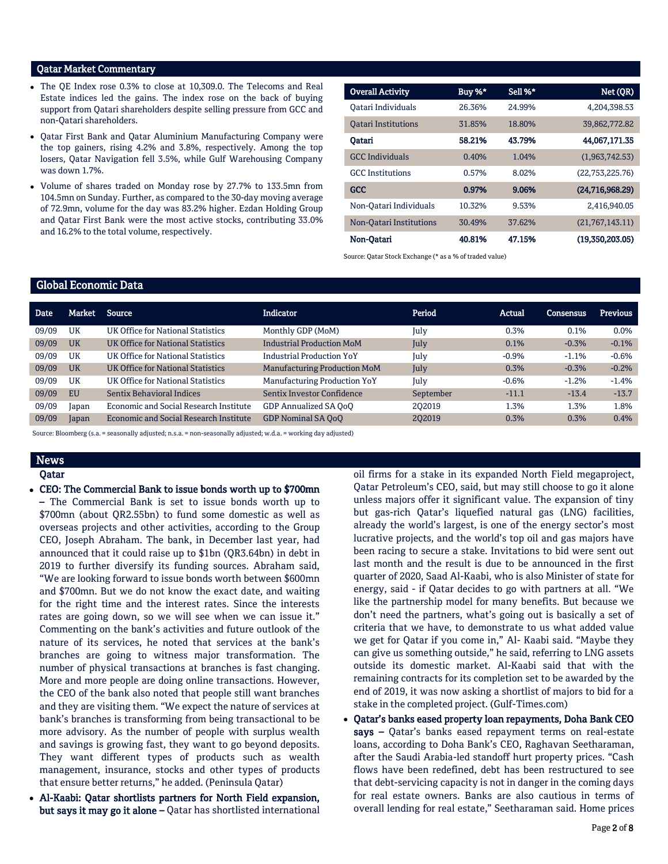## Qatar Market Commentary

- The QE Index rose 0.3% to close at 10,309.0. The Telecoms and Real Estate indices led the gains. The index rose on the back of buying support from Qatari shareholders despite selling pressure from GCC and non-Qatari shareholders.
- Qatar First Bank and Qatar Aluminium Manufacturing Company were the top gainers, rising 4.2% and 3.8%, respectively. Among the top losers, Qatar Navigation fell 3.5%, while Gulf Warehousing Company was down 1.7%.
- Volume of shares traded on Monday rose by 27.7% to 133.5mn from 104.5mn on Sunday. Further, as compared to the 30-day moving average of 72.9mn, volume for the day was 83.2% higher. Ezdan Holding Group and Qatar First Bank were the most active stocks, contributing 33.0% and 16.2% to the total volume, respectively.

| <b>Overall Activity</b>    | Buy $%$ * | Sell %* | Net (QR)        |
|----------------------------|-----------|---------|-----------------|
| Oatari Individuals         | 26.36%    | 24.99%  | 4,204,398.53    |
| <b>Oatari Institutions</b> | 31.85%    | 18.80%  | 39,862,772.82   |
| Oatari                     | 58.21%    | 43.79%  | 44.067.171.35   |
| <b>GCC</b> Individuals     | 0.40%     | 1.04%   | (1.963.742.53)  |
| <b>GCC</b> Institutions    | 0.57%     | 8.02%   | (22,753,225.76) |
| <b>GCC</b>                 | 0.97%     | 9.06%   | (24,716,968.29) |
| Non-Oatari Individuals     | 10.32%    | 9.53%   | 2,416,940.05    |
| Non-Oatari Institutions    | 30.49%    | 37.62%  | (21,767,143.11) |
| Non-Oatari                 | 40.81%    | 47.15%  | (19,350,203.05) |

Source: Qatar Stock Exchange (\* as a % of traded value)

## Global Economic Data

| <b>Date</b> | Market    | Source                                        | <b>Indicator</b>                    | Period    | Actual  | Consensus | <b>Previous</b> |
|-------------|-----------|-----------------------------------------------|-------------------------------------|-----------|---------|-----------|-----------------|
| 09/09       | UK        | UK Office for National Statistics             | Monthly GDP (MoM)                   | July      | 0.3%    | 0.1%      | $0.0\%$         |
| 09/09       | <b>UK</b> | UK Office for National Statistics             | <b>Industrial Production MoM</b>    | July      | 0.1%    | $-0.3%$   | $-0.1%$         |
| 09/09       | UK        | UK Office for National Statistics             | <b>Industrial Production YoY</b>    | July      | $-0.9%$ | $-1.1%$   | $-0.6%$         |
| 09/09       | <b>UK</b> | UK Office for National Statistics             | <b>Manufacturing Production MoM</b> | July      | 0.3%    | $-0.3%$   | $-0.2%$         |
| 09/09       | UK        | UK Office for National Statistics             | Manufacturing Production YoY        | July      | $-0.6%$ | $-1.2%$   | $-1.4%$         |
| 09/09       | <b>EU</b> | <b>Sentix Behavioral Indices</b>              | Sentix Investor Confidence          | September | $-11.1$ | $-13.4$   | $-13.7$         |
| 09/09       | Japan     | <b>Economic and Social Research Institute</b> | GDP Annualized SA OoO               | 202019    | 1.3%    | 1.3%      | 1.8%            |
| 09/09       | Japan     | <b>Economic and Social Research Institute</b> | <b>GDP Nominal SA OoO</b>           | 202019    | 0.3%    | 0.3%      | 0.4%            |
|             |           |                                               |                                     |           |         |           |                 |

Source: Bloomberg (s.a. = seasonally adjusted; n.s.a. = non-seasonally adjusted; w.d.a. = working day adjusted)

# News

## Qatar

CEO: The Commercial Bank to issue bonds worth up to \$700mn

– The Commercial Bank is set to issue bonds worth up to \$700mn (about QR2.55bn) to fund some domestic as well as overseas projects and other activities, according to the Group CEO, Joseph Abraham. The bank, in December last year, had announced that it could raise up to \$1bn (QR3.64bn) in debt in 2019 to further diversify its funding sources. Abraham said, "We are looking forward to issue bonds worth between \$600mn and \$700mn. But we do not know the exact date, and waiting for the right time and the interest rates. Since the interests rates are going down, so we will see when we can issue it." Commenting on the bank's activities and future outlook of the nature of its services, he noted that services at the bank's branches are going to witness major transformation. The number of physical transactions at branches is fast changing. More and more people are doing online transactions. However, the CEO of the bank also noted that people still want branches and they are visiting them. "We expect the nature of services at bank's branches is transforming from being transactional to be more advisory. As the number of people with surplus wealth and savings is growing fast, they want to go beyond deposits. They want different types of products such as wealth management, insurance, stocks and other types of products that ensure better returns," he added. (Peninsula Qatar)

 Al-Kaabi: Qatar shortlists partners for North Field expansion, but says it may go it alone - Qatar has shortlisted international oil firms for a stake in its expanded North Field megaproject, Qatar Petroleum's CEO, said, but may still choose to go it alone unless majors offer it significant value. The expansion of tiny but gas-rich Qatar's liquefied natural gas (LNG) facilities, already the world's largest, is one of the energy sector's most lucrative projects, and the world's top oil and gas majors have been racing to secure a stake. Invitations to bid were sent out last month and the result is due to be announced in the first quarter of 2020, Saad Al-Kaabi, who is also Minister of state for energy, said - if Qatar decides to go with partners at all. "We like the partnership model for many benefits. But because we don't need the partners, what's going out is basically a set of criteria that we have, to demonstrate to us what added value we get for Qatar if you come in," Al- Kaabi said. "Maybe they can give us something outside," he said, referring to LNG assets outside its domestic market. Al-Kaabi said that with the remaining contracts for its completion set to be awarded by the end of 2019, it was now asking a shortlist of majors to bid for a stake in the completed project. (Gulf-Times.com)

 Qatar's banks eased property loan repayments, Doha Bank CEO says - Qatar's banks eased repayment terms on real-estate loans, according to Doha Bank's CEO, Raghavan Seetharaman, after the Saudi Arabia-led standoff hurt property prices. "Cash flows have been redefined, debt has been restructured to see that debt-servicing capacity is not in danger in the coming days for real estate owners. Banks are also cautious in terms of overall lending for real estate," Seetharaman said. Home prices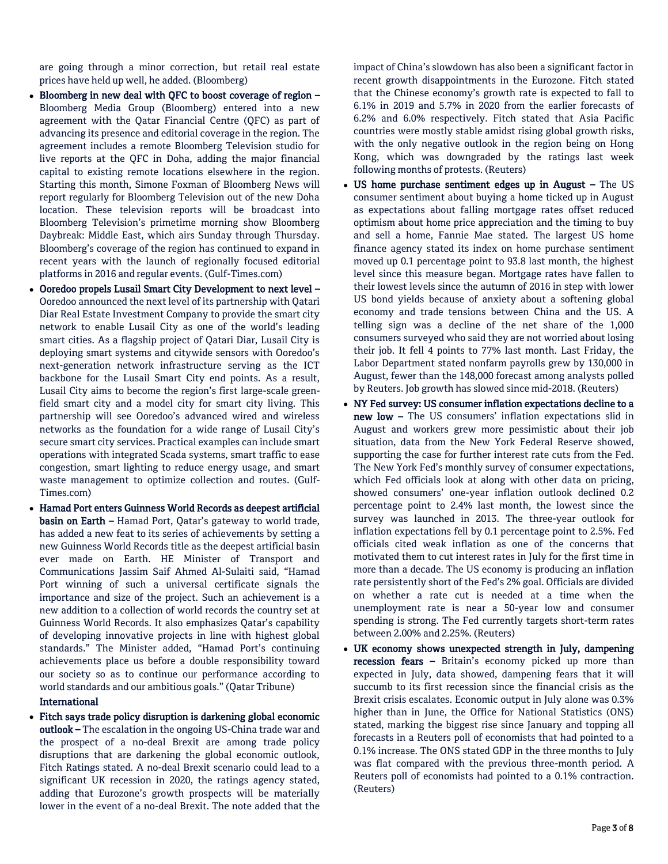are going through a minor correction, but retail real estate prices have held up well, he added. (Bloomberg)

- Bloomberg in new deal with QFC to boost coverage of region Bloomberg Media Group (Bloomberg) entered into a new agreement with the Qatar Financial Centre (QFC) as part of advancing its presence and editorial coverage in the region. The agreement includes a remote Bloomberg Television studio for live reports at the QFC in Doha, adding the major financial capital to existing remote locations elsewhere in the region. Starting this month, Simone Foxman of Bloomberg News will report regularly for Bloomberg Television out of the new Doha location. These television reports will be broadcast into Bloomberg Television's primetime morning show Bloomberg Daybreak: Middle East, which airs Sunday through Thursday. Bloomberg's coverage of the region has continued to expand in recent years with the launch of regionally focused editorial platforms in 2016 and regular events. (Gulf-Times.com)
- Ooredoo propels Lusail Smart City Development to next level Ooredoo announced the next level of its partnership with Qatari Diar Real Estate Investment Company to provide the smart city network to enable Lusail City as one of the world's leading smart cities. As a flagship project of Qatari Diar, Lusail City is deploying smart systems and citywide sensors with Ooredoo's next-generation network infrastructure serving as the ICT backbone for the Lusail Smart City end points. As a result, Lusail City aims to become the region's first large-scale greenfield smart city and a model city for smart city living. This partnership will see Ooredoo's advanced wired and wireless networks as the foundation for a wide range of Lusail City's secure smart city services. Practical examples can include smart operations with integrated Scada systems, smart traffic to ease congestion, smart lighting to reduce energy usage, and smart waste management to optimize collection and routes. (Gulf-Times.com)
- Hamad Port enters Guinness World Records as deepest artificial basin on Earth – Hamad Port, Qatar's gateway to world trade, has added a new feat to its series of achievements by setting a new Guinness World Records title as the deepest artificial basin ever made on Earth. HE Minister of Transport and Communications Jassim Saif Ahmed Al-Sulaiti said, "Hamad Port winning of such a universal certificate signals the importance and size of the project. Such an achievement is a new addition to a collection of world records the country set at Guinness World Records. It also emphasizes Qatar's capability of developing innovative projects in line with highest global standards." The Minister added, "Hamad Port's continuing achievements place us before a double responsibility toward our society so as to continue our performance according to world standards and our ambitious goals." (Qatar Tribune)

## International

 Fitch says trade policy disruption is darkening global economic outlook – The escalation in the ongoing US-China trade war and the prospect of a no-deal Brexit are among trade policy disruptions that are darkening the global economic outlook, Fitch Ratings stated. A no-deal Brexit scenario could lead to a significant UK recession in 2020, the ratings agency stated, adding that Eurozone's growth prospects will be materially lower in the event of a no-deal Brexit. The note added that the

impact of China's slowdown has also been a significant factor in recent growth disappointments in the Eurozone. Fitch stated that the Chinese economy's growth rate is expected to fall to 6.1% in 2019 and 5.7% in 2020 from the earlier forecasts of 6.2% and 6.0% respectively. Fitch stated that Asia Pacific countries were mostly stable amidst rising global growth risks, with the only negative outlook in the region being on Hong Kong, which was downgraded by the ratings last week following months of protests. (Reuters)

- US home purchase sentiment edges up in August The US consumer sentiment about buying a home ticked up in August as expectations about falling mortgage rates offset reduced optimism about home price appreciation and the timing to buy and sell a home, Fannie Mae stated. The largest US home finance agency stated its index on home purchase sentiment moved up 0.1 percentage point to 93.8 last month, the highest level since this measure began. Mortgage rates have fallen to their lowest levels since the autumn of 2016 in step with lower US bond yields because of anxiety about a softening global economy and trade tensions between China and the US. A telling sign was a decline of the net share of the 1,000 consumers surveyed who said they are not worried about losing their job. It fell 4 points to 77% last month. Last Friday, the Labor Department stated nonfarm payrolls grew by 130,000 in August, fewer than the 148,000 forecast among analysts polled by Reuters. Job growth has slowed since mid-2018. (Reuters)
- NY Fed survey: US consumer inflation expectations decline to a new low – The US consumers' inflation expectations slid in August and workers grew more pessimistic about their job situation, data from the New York Federal Reserve showed, supporting the case for further interest rate cuts from the Fed. The New York Fed's monthly survey of consumer expectations, which Fed officials look at along with other data on pricing, showed consumers' one-year inflation outlook declined 0.2 percentage point to 2.4% last month, the lowest since the survey was launched in 2013. The three-year outlook for inflation expectations fell by 0.1 percentage point to 2.5%. Fed officials cited weak inflation as one of the concerns that motivated them to cut interest rates in July for the first time in more than a decade. The US economy is producing an inflation rate persistently short of the Fed's 2% goal. Officials are divided on whether a rate cut is needed at a time when the unemployment rate is near a 50-year low and consumer spending is strong. The Fed currently targets short-term rates between 2.00% and 2.25%. (Reuters)
- UK economy shows unexpected strength in July, dampening recession fears – Britain's economy picked up more than expected in July, data showed, dampening fears that it will succumb to its first recession since the financial crisis as the Brexit crisis escalates. Economic output in July alone was 0.3% higher than in June, the Office for National Statistics (ONS) stated, marking the biggest rise since January and topping all forecasts in a Reuters poll of economists that had pointed to a 0.1% increase. The ONS stated GDP in the three months to July was flat compared with the previous three-month period. A Reuters poll of economists had pointed to a 0.1% contraction. (Reuters)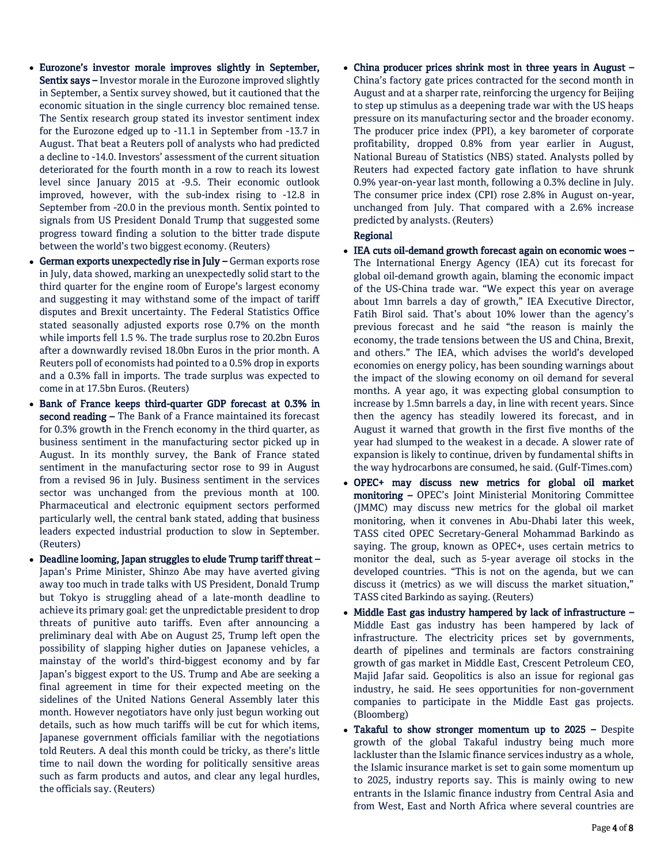- Eurozone's investor morale improves slightly in September, Sentix says – Investor morale in the Eurozone improved slightly in September, a Sentix survey showed, but it cautioned that the economic situation in the single currency bloc remained tense. The Sentix research group stated its investor sentiment index for the Eurozone edged up to -11.1 in September from -13.7 in August. That beat a Reuters poll of analysts who had predicted a decline to -14.0. Investors' assessment of the current situation deteriorated for the fourth month in a row to reach its lowest level since January 2015 at -9.5. Their economic outlook improved, however, with the sub-index rising to -12.8 in September from -20.0 in the previous month. Sentix pointed to signals from US President Donald Trump that suggested some progress toward finding a solution to the bitter trade dispute between the world's two biggest economy. (Reuters)
- German exports unexpectedly rise in July German exports rose in July, data showed, marking an unexpectedly solid start to the third quarter for the engine room of Europe's largest economy and suggesting it may withstand some of the impact of tariff disputes and Brexit uncertainty. The Federal Statistics Office stated seasonally adjusted exports rose 0.7% on the month while imports fell 1.5 %. The trade surplus rose to 20.2bn Euros after a downwardly revised 18.0bn Euros in the prior month. A Reuters poll of economists had pointed to a 0.5% drop in exports and a 0.3% fall in imports. The trade surplus was expected to come in at 17.5bn Euros. (Reuters)
- Bank of France keeps third-quarter GDP forecast at 0.3% in second reading – The Bank of a France maintained its forecast for 0.3% growth in the French economy in the third quarter, as business sentiment in the manufacturing sector picked up in August. In its monthly survey, the Bank of France stated sentiment in the manufacturing sector rose to 99 in August from a revised 96 in July. Business sentiment in the services sector was unchanged from the previous month at 100. Pharmaceutical and electronic equipment sectors performed particularly well, the central bank stated, adding that business leaders expected industrial production to slow in September. (Reuters)
- Deadline looming, Japan struggles to elude Trump tariff threat Japan's Prime Minister, Shinzo Abe may have averted giving away too much in trade talks with US President, Donald Trump but Tokyo is struggling ahead of a late-month deadline to achieve its primary goal: get the unpredictable president to drop threats of punitive auto tariffs. Even after announcing a preliminary deal with Abe on August 25, Trump left open the possibility of slapping higher duties on Japanese vehicles, a mainstay of the world's third-biggest economy and by far Japan's biggest export to the US. Trump and Abe are seeking a final agreement in time for their expected meeting on the sidelines of the United Nations General Assembly later this month. However negotiators have only just begun working out details, such as how much tariffs will be cut for which items, Japanese government officials familiar with the negotiations told Reuters. A deal this month could be tricky, as there's little time to nail down the wording for politically sensitive areas such as farm products and autos, and clear any legal hurdles, the officials say. (Reuters)

 China producer prices shrink most in three years in August – China's factory gate prices contracted for the second month in August and at a sharper rate, reinforcing the urgency for Beijing to step up stimulus as a deepening trade war with the US heaps pressure on its manufacturing sector and the broader economy. The producer price index (PPI), a key barometer of corporate profitability, dropped 0.8% from year earlier in August, National Bureau of Statistics (NBS) stated. Analysts polled by Reuters had expected factory gate inflation to have shrunk 0.9% year-on-year last month, following a 0.3% decline in July. The consumer price index (CPI) rose 2.8% in August on-year, unchanged from July. That compared with a 2.6% increase predicted by analysts. (Reuters)

## Regional

- IEA cuts oil-demand growth forecast again on economic woes -The International Energy Agency (IEA) cut its forecast for global oil-demand growth again, blaming the economic impact of the US-China trade war. "We expect this year on average about 1mn barrels a day of growth," IEA Executive Director, Fatih Birol said. That's about 10% lower than the agency's previous forecast and he said "the reason is mainly the economy, the trade tensions between the US and China, Brexit, and others." The IEA, which advises the world's developed economies on energy policy, has been sounding warnings about the impact of the slowing economy on oil demand for several months. A year ago, it was expecting global consumption to increase by 1.5mn barrels a day, in line with recent years. Since then the agency has steadily lowered its forecast, and in August it warned that growth in the first five months of the year had slumped to the weakest in a decade. A slower rate of expansion is likely to continue, driven by fundamental shifts in the way hydrocarbons are consumed, he said. (Gulf-Times.com)
- OPEC+ may discuss new metrics for global oil market monitoring – OPEC's Joint Ministerial Monitoring Committee (JMMC) may discuss new metrics for the global oil market monitoring, when it convenes in Abu-Dhabi later this week, TASS cited OPEC Secretary-General Mohammad Barkindo as saying. The group, known as OPEC+, uses certain metrics to monitor the deal, such as 5-year average oil stocks in the developed countries. "This is not on the agenda, but we can discuss it (metrics) as we will discuss the market situation," TASS cited Barkindo as saying. (Reuters)
- Middle East gas industry hampered by lack of infrastructure -Middle East gas industry has been hampered by lack of infrastructure. The electricity prices set by governments, dearth of pipelines and terminals are factors constraining growth of gas market in Middle East, Crescent Petroleum CEO, Majid Jafar said. Geopolitics is also an issue for regional gas industry, he said. He sees opportunities for non-government companies to participate in the Middle East gas projects. (Bloomberg)
- Takaful to show stronger momentum up to 2025 Despite growth of the global Takaful industry being much more lackluster than the Islamic finance services industry as a whole, the Islamic insurance market is set to gain some momentum up to 2025, industry reports say. This is mainly owing to new entrants in the Islamic finance industry from Central Asia and from West, East and North Africa where several countries are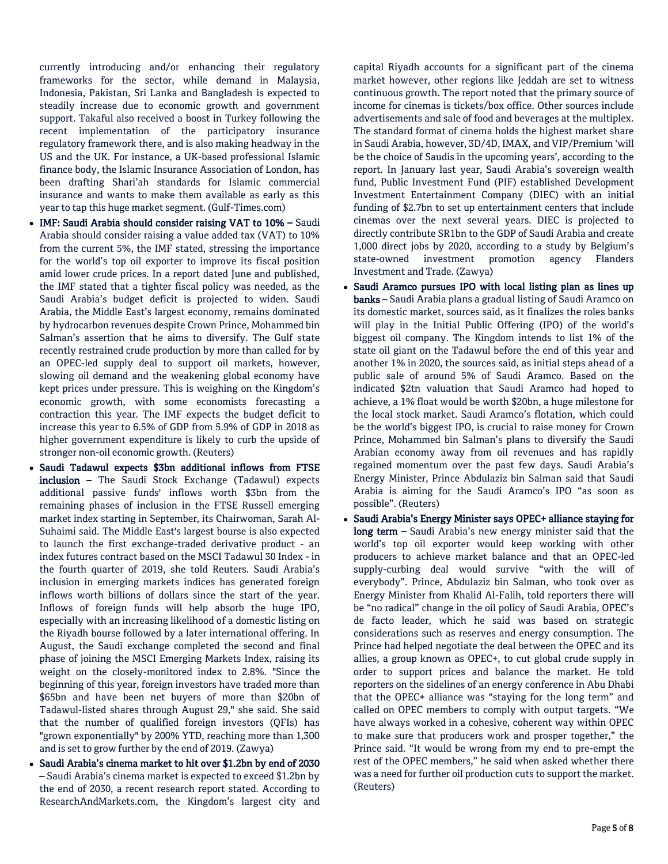currently introducing and/or enhancing their regulatory frameworks for the sector, while demand in Malaysia, Indonesia, Pakistan, Sri Lanka and Bangladesh is expected to steadily increase due to economic growth and government support. Takaful also received a boost in Turkey following the recent implementation of the participatory insurance regulatory framework there, and is also making headway in the US and the UK. For instance, a UK-based professional Islamic finance body, the Islamic Insurance Association of London, has been drafting Shari'ah standards for Islamic commercial insurance and wants to make them available as early as this year to tap this huge market segment. (Gulf-Times.com)

- IMF: Saudi Arabia should consider raising VAT to 10% Saudi Arabia should consider raising a value added tax (VAT) to 10% from the current 5%, the IMF stated, stressing the importance for the world's top oil exporter to improve its fiscal position amid lower crude prices. In a report dated June and published, the IMF stated that a tighter fiscal policy was needed, as the Saudi Arabia's budget deficit is projected to widen. Saudi Arabia, the Middle East's largest economy, remains dominated by hydrocarbon revenues despite Crown Prince, Mohammed bin Salman's assertion that he aims to diversify. The Gulf state recently restrained crude production by more than called for by an OPEC-led supply deal to support oil markets, however, slowing oil demand and the weakening global economy have kept prices under pressure. This is weighing on the Kingdom's economic growth, with some economists forecasting a contraction this year. The IMF expects the budget deficit to increase this year to 6.5% of GDP from 5.9% of GDP in 2018 as higher government expenditure is likely to curb the upside of stronger non-oil economic growth. (Reuters)
- Saudi Tadawul expects \$3bn additional inflows from FTSE inclusion – The Saudi Stock Exchange (Tadawul) expects additional passive funds' inflows worth \$3bn from the remaining phases of inclusion in the FTSE Russell emerging market index starting in September, its Chairwoman, Sarah Al-Suhaimi said. The Middle East's largest bourse is also expected to launch the first exchange-traded derivative product - an index futures contract based on the MSCI Tadawul 30 Index - in the fourth quarter of 2019, she told Reuters. Saudi Arabia's inclusion in emerging markets indices has generated foreign inflows worth billions of dollars since the start of the year. Inflows of foreign funds will help absorb the huge IPO, especially with an increasing likelihood of a domestic listing on the Riyadh bourse followed by a later international offering. In August, the Saudi exchange completed the second and final phase of joining the MSCI Emerging Markets Index, raising its weight on the closely-monitored index to 2.8%. "Since the beginning of this year, foreign investors have traded more than \$65bn and have been net buyers of more than \$20bn of Tadawul-listed shares through August 29," she said. She said that the number of qualified foreign investors (QFIs) has "grown exponentially" by 200% YTD, reaching more than 1,300 and is set to grow further by the end of 2019. (Zawya)
- Saudi Arabia's cinema market to hit over \$1.2bn by end of 2030 – Saudi Arabia's cinema market is expected to exceed \$1.2bn by the end of 2030, a recent research report stated. According to ResearchAndMarkets.com, the Kingdom's largest city and

capital Riyadh accounts for a significant part of the cinema market however, other regions like Jeddah are set to witness continuous growth. The report noted that the primary source of income for cinemas is tickets/box office. Other sources include advertisements and sale of food and beverages at the multiplex. The standard format of cinema holds the highest market share in Saudi Arabia, however, 3D/4D, IMAX, and VIP/Premium 'will be the choice of Saudis in the upcoming years', according to the report. In January last year, Saudi Arabia's sovereign wealth fund, Public Investment Fund (PIF) established Development Investment Entertainment Company (DIEC) with an initial funding of \$2.7bn to set up entertainment centers that include cinemas over the next several years. DIEC is projected to directly contribute SR1bn to the GDP of Saudi Arabia and create 1,000 direct jobs by 2020, according to a study by Belgium's state-owned investment promotion agency Flanders Investment and Trade. (Zawya)

- Saudi Aramco pursues IPO with local listing plan as lines up banks – Saudi Arabia plans a gradual listing of Saudi Aramco on its domestic market, sources said, as it finalizes the roles banks will play in the Initial Public Offering (IPO) of the world's biggest oil company. The Kingdom intends to list 1% of the state oil giant on the Tadawul before the end of this year and another 1% in 2020, the sources said, as initial steps ahead of a public sale of around 5% of Saudi Aramco. Based on the indicated \$2tn valuation that Saudi Aramco had hoped to achieve, a 1% float would be worth \$20bn, a huge milestone for the local stock market. Saudi Aramco's flotation, which could be the world's biggest IPO, is crucial to raise money for Crown Prince, Mohammed bin Salman's plans to diversify the Saudi Arabian economy away from oil revenues and has rapidly regained momentum over the past few days. Saudi Arabia's Energy Minister, Prince Abdulaziz bin Salman said that Saudi Arabia is aiming for the Saudi Aramco's IPO "as soon as possible". (Reuters)
- Saudi Arabia's Energy Minister says OPEC+ alliance staying for long term - Saudi Arabia's new energy minister said that the world's top oil exporter would keep working with other producers to achieve market balance and that an OPEC-led supply-curbing deal would survive "with the will of everybody". Prince, Abdulaziz bin Salman, who took over as Energy Minister from Khalid Al-Falih, told reporters there will be "no radical" change in the oil policy of Saudi Arabia, OPEC's de facto leader, which he said was based on strategic considerations such as reserves and energy consumption. The Prince had helped negotiate the deal between the OPEC and its allies, a group known as OPEC+, to cut global crude supply in order to support prices and balance the market. He told reporters on the sidelines of an energy conference in Abu Dhabi that the OPEC+ alliance was "staying for the long term" and called on OPEC members to comply with output targets. "We have always worked in a cohesive, coherent way within OPEC to make sure that producers work and prosper together," the Prince said. "It would be wrong from my end to pre-empt the rest of the OPEC members," he said when asked whether there was a need for further oil production cuts to support the market. (Reuters)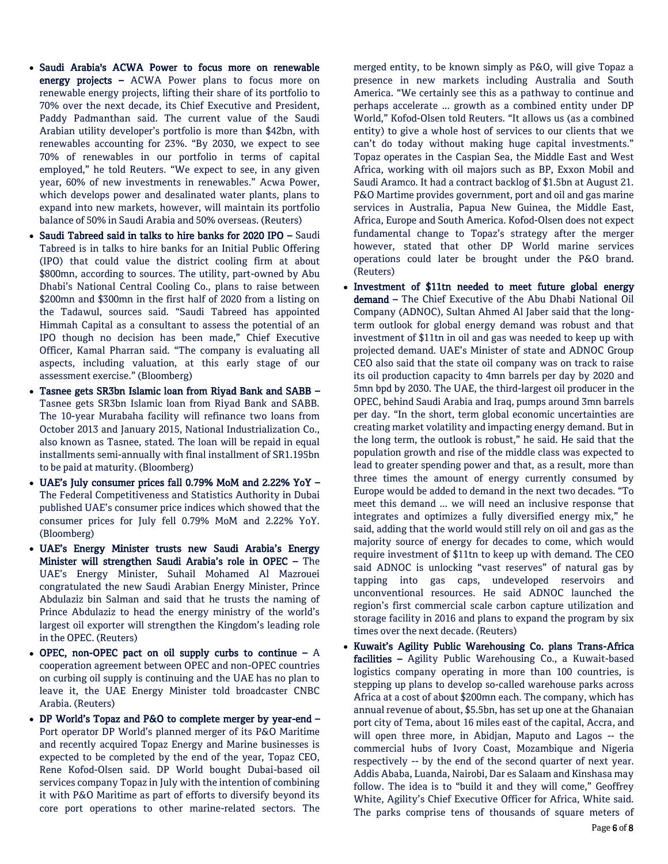- Saudi Arabia's ACWA Power to focus more on renewable energy projects - ACWA Power plans to focus more on renewable energy projects, lifting their share of its portfolio to 70% over the next decade, its Chief Executive and President, Paddy Padmanthan said. The current value of the Saudi Arabian utility developer's portfolio is more than \$42bn, with renewables accounting for 23%. "By 2030, we expect to see 70% of renewables in our portfolio in terms of capital employed," he told Reuters. "We expect to see, in any given year, 60% of new investments in renewables." Acwa Power, which develops power and desalinated water plants, plans to expand into new markets, however, will maintain its portfolio balance of 50% in Saudi Arabia and 50% overseas. (Reuters)
- Saudi Tabreed said in talks to hire banks for 2020 IPO Saudi Tabreed is in talks to hire banks for an Initial Public Offering (IPO) that could value the district cooling firm at about \$800mn, according to sources. The utility, part-owned by Abu Dhabi's National Central Cooling Co., plans to raise between \$200mn and \$300mn in the first half of 2020 from a listing on the Tadawul, sources said. "Saudi Tabreed has appointed Himmah Capital as a consultant to assess the potential of an IPO though no decision has been made," Chief Executive Officer, Kamal Pharran said. "The company is evaluating all aspects, including valuation, at this early stage of our assessment exercise." (Bloomberg)
- Tasnee gets SR3bn Islamic loan from Riyad Bank and SABB Tasnee gets SR3bn Islamic loan from Riyad Bank and SABB. The 10-year Murabaha facility will refinance two loans from October 2013 and January 2015, National Industrialization Co., also known as Tasnee, stated. The loan will be repaid in equal installments semi-annually with final installment of SR1.195bn to be paid at maturity. (Bloomberg)
- UAE's July consumer prices fall 0.79% MoM and 2.22% YoY The Federal Competitiveness and Statistics Authority in Dubai published UAE's consumer price indices which showed that the consumer prices for July fell 0.79% MoM and 2.22% YoY. (Bloomberg)
- UAE's Energy Minister trusts new Saudi Arabia's Energy Minister will strengthen Saudi Arabia's role in OPEC – The UAE's Energy Minister, Suhail Mohamed Al Mazrouei congratulated the new Saudi Arabian Energy Minister, Prince Abdulaziz bin Salman and said that he trusts the naming of Prince Abdulaziz to head the energy ministry of the world's largest oil exporter will strengthen the Kingdom's leading role in the OPEC. (Reuters)
- OPEC, non-OPEC pact on oil supply curbs to continue  $A$ cooperation agreement between OPEC and non-OPEC countries on curbing oil supply is continuing and the UAE has no plan to leave it, the UAE Energy Minister told broadcaster CNBC Arabia. (Reuters)
- DP World's Topaz and P&O to complete merger by year-end Port operator DP World's planned merger of its P&O Maritime and recently acquired Topaz Energy and Marine businesses is expected to be completed by the end of the year, Topaz CEO, Rene Kofod-Olsen said. DP World bought Dubai-based oil services company Topaz in July with the intention of combining it with P&O Maritime as part of efforts to diversify beyond its core port operations to other marine-related sectors. The

merged entity, to be known simply as P&O, will give Topaz a presence in new markets including Australia and South America. "We certainly see this as a pathway to continue and perhaps accelerate ... growth as a combined entity under DP World," Kofod-Olsen told Reuters. "It allows us (as a combined entity) to give a whole host of services to our clients that we can't do today without making huge capital investments." Topaz operates in the Caspian Sea, the Middle East and West Africa, working with oil majors such as BP, Exxon Mobil and Saudi Aramco. It had a contract backlog of \$1.5bn at August 21. P&O Martime provides government, port and oil and gas marine services in Australia, Papua New Guinea, the Middle East, Africa, Europe and South America. Kofod-Olsen does not expect fundamental change to Topaz's strategy after the merger however, stated that other DP World marine services operations could later be brought under the P&O brand. (Reuters)

- Investment of \$11tn needed to meet future global energy demand – The Chief Executive of the Abu Dhabi National Oil Company (ADNOC), Sultan Ahmed Al Jaber said that the longterm outlook for global energy demand was robust and that investment of \$11tn in oil and gas was needed to keep up with projected demand. UAE's Minister of state and ADNOC Group CEO also said that the state oil company was on track to raise its oil production capacity to 4mn barrels per day by 2020 and 5mn bpd by 2030. The UAE, the third-largest oil producer in the OPEC, behind Saudi Arabia and Iraq, pumps around 3mn barrels per day. "In the short, term global economic uncertainties are creating market volatility and impacting energy demand. But in the long term, the outlook is robust," he said. He said that the population growth and rise of the middle class was expected to lead to greater spending power and that, as a result, more than three times the amount of energy currently consumed by Europe would be added to demand in the next two decades. "To meet this demand ... we will need an inclusive response that integrates and optimizes a fully diversified energy mix," he said, adding that the world would still rely on oil and gas as the majority source of energy for decades to come, which would require investment of \$11tn to keep up with demand. The CEO said ADNOC is unlocking "vast reserves" of natural gas by tapping into gas caps, undeveloped reservoirs and unconventional resources. He said ADNOC launched the region's first commercial scale carbon capture utilization and storage facility in 2016 and plans to expand the program by six times over the next decade. (Reuters)
- Kuwait's Agility Public Warehousing Co. plans Trans-Africa facilities - Agility Public Warehousing Co., a Kuwait-based logistics company operating in more than 100 countries, is stepping up plans to develop so-called warehouse parks across Africa at a cost of about \$200mn each. The company, which has annual revenue of about, \$5.5bn, has set up one at the Ghanaian port city of Tema, about 16 miles east of the capital, Accra, and will open three more, in Abidjan, Maputo and Lagos -- the commercial hubs of Ivory Coast, Mozambique and Nigeria respectively -- by the end of the second quarter of next year. Addis Ababa, Luanda, Nairobi, Dar es Salaam and Kinshasa may follow. The idea is to "build it and they will come," Geoffrey White, Agility's Chief Executive Officer for Africa, White said. The parks comprise tens of thousands of square meters of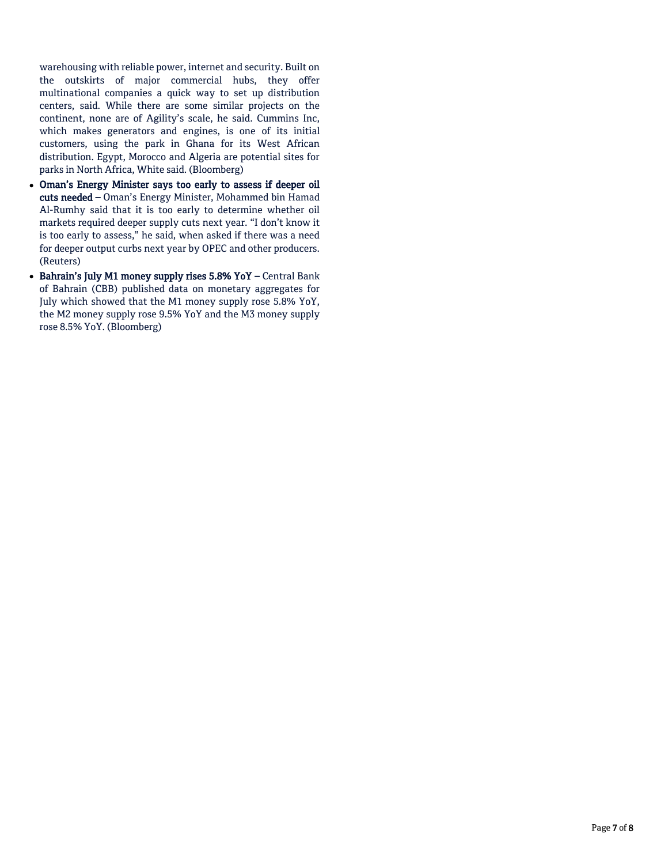warehousing with reliable power, internet and security. Built on the outskirts of major commercial hubs, they offer multinational companies a quick way to set up distribution centers, said. While there are some similar projects on the continent, none are of Agility's scale, he said. Cummins Inc, which makes generators and engines, is one of its initial customers, using the park in Ghana for its West African distribution. Egypt, Morocco and Algeria are potential sites for parks in North Africa, White said. (Bloomberg)

- Oman's Energy Minister says too early to assess if deeper oil cuts needed – Oman's Energy Minister, Mohammed bin Hamad Al-Rumhy said that it is too early to determine whether oil markets required deeper supply cuts next year. "I don't know it is too early to assess," he said, when asked if there was a need for deeper output curbs next year by OPEC and other producers. (Reuters)
- Bahrain's July M1 money supply rises 5.8% YoY Central Bank of Bahrain (CBB) published data on monetary aggregates for July which showed that the M1 money supply rose 5.8% YoY, the M2 money supply rose 9.5% YoY and the M3 money supply rose 8.5% YoY. (Bloomberg)